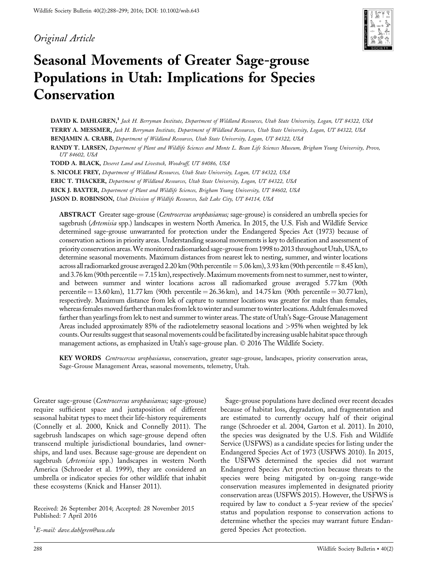## Original Article



# Seasonal Movements of Greater Sage-grouse Populations in Utah: Implications for Species Conservation

DAVID K. DAHLGREN,<sup>1</sup> Jack H. Berryman Institute, Department of Wildland Resources, Utah State University, Logan, UT 84322, USA TERRY A. MESSMER, Jack H. Berryman Institute, Department of Wildland Resources, Utah State University, Logan, UT 84322, USA BENJAMIN A. CRABB, Department of Wildland Resources, Utah State University, Logan, UT 84322, USA RANDY T. LARSEN, Department of Plant and Wildlife Sciences and Monte L. Bean Life Sciences Museum, Brigham Young University, Provo, UT 84602, USA TODD A. BLACK, Deseret Land and Livestock, Woodruff, UT 84086, USA

S. NICOLE FREY, Department of Wildland Resources, Utah State University, Logan, UT 84322, USA ERIC T. THACKER, Department of Wildland Resources, Utah State University, Logan, UT 84322, USA RICK J. BAXTER, Department of Plant and Wildlife Sciences, Brigham Young University, UT 84602, USA JASON D. ROBINSON, Utah Division of Wildlife Resources, Salt Lake City, UT 84114, USA

ABSTRACT Greater sage-grouse (Centrocercus urophasianus; sage-grouse) is considered an umbrella species for sagebrush (Artemisia spp.) landscapes in western North America. In 2015, the U.S. Fish and Wildlife Service determined sage-grouse unwarranted for protection under the Endangered Species Act (1973) because of conservation actions in priority areas. Understanding seasonal movements is key to delineation and assessment of priority conservation areas.Wemonitored radiomarked sage-grouse from 1998 to 2013 throughout Utah, USA, to determine seasonal movements. Maximum distances from nearest lek to nesting, summer, and winter locations across all radiomarked grouse averaged 2.20 km (90th percentile = 5.06 km), 3.93 km (90th percentile = 8.45 km), and 3.76 km (90th percentile  $= 7.15$  km), respectively. Maximum movements from nest to summer, nest to winter, and between summer and winter locations across all radiomarked grouse averaged 5.77 km (90th percentile =  $13.60 \text{ km}$ ),  $11.77 \text{ km}$  (90th percentile =  $26.36 \text{ km}$ ), and  $14.75 \text{ km}$  (90th percentile =  $30.77 \text{ km}$ ), respectively. Maximum distance from lek of capture to summer locations was greater for males than females, whereas females moved farther than males from lek to winter and summer to winter locations. Adult females moved farther than yearlings from lek to nest and summer to winter areas. The state of Utah's Sage-Grouse Management Areas included approximately 85% of the radiotelemetry seasonal locations and >95% when weighted by lek counts. Our results suggest that seasonal movements could be facilitated by increasing usable habitat space through management actions, as emphasized in Utah's sage-grouse plan. © 2016 The Wildlife Society.

KEY WORDS Centrocercus urophasianus, conservation, greater sage-grouse, landscapes, priority conservation areas, Sage-Grouse Management Areas, seasonal movements, telemetry, Utah.

Greater sage-grouse (Centrocercus urophasianus; sage-grouse) require sufficient space and juxtaposition of different seasonal habitat types to meet their life-history requirements (Connelly et al. 2000, Knick and Connelly 2011). The sagebrush landscapes on which sage-grouse depend often transcend multiple jurisdictional boundaries, land ownerships, and land uses. Because sage-grouse are dependent on sagebrush (Artemisia spp.) landscapes in western North America (Schroeder et al. 1999), they are considered an umbrella or indicator species for other wildlife that inhabit these ecosystems (Knick and Hanser 2011).

Received: 26 September 2014; Accepted: 28 November 2015 Published: 7 April 2016

 $^1E\!\!-\!$ mail: dave.dahlgren@usu.edu

Sage-grouse populations have declined over recent decades because of habitat loss, degradation, and fragmentation and are estimated to currently occupy half of their original range (Schroeder et al. 2004, Garton et al. 2011). In 2010, the species was designated by the U.S. Fish and Wildlife Service (USFWS) as a candidate species for listing under the Endangered Species Act of 1973 (USFWS 2010). In 2015, the USFWS determined the species did not warrant Endangered Species Act protection because threats to the species were being mitigated by on-going range-wide conservation measures implemented in designated priority conservation areas (USFWS 2015). However, the USFWS is required by law to conduct a 5-year review of the species' status and population response to conservation actions to determine whether the species may warrant future Endangered Species Act protection.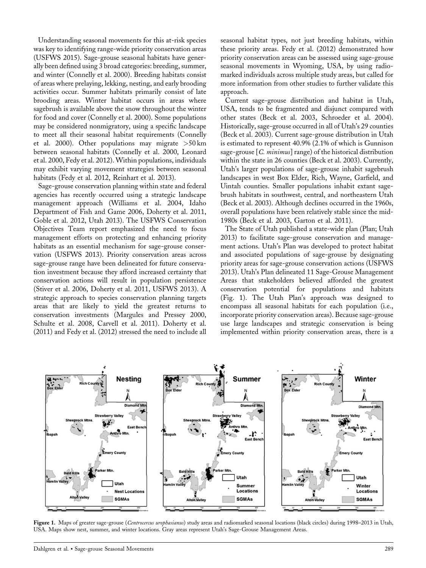Understanding seasonal movements for this at-risk species was key to identifying range-wide priority conservation areas (USFWS 2015). Sage-grouse seasonal habitats have generally been defined using 3 broad categories: breeding, summer, and winter (Connelly et al. 2000). Breeding habitats consist of areas where prelaying, lekking, nesting, and early brooding activities occur. Summer habitats primarily consist of late brooding areas. Winter habitat occurs in areas where sagebrush is available above the snow throughout the winter for food and cover (Connelly et al. 2000). Some populations may be considered nonmigratory, using a specific landscape to meet all their seasonal habitat requirements (Connelly et al. 2000). Other populations may migrate >50 km between seasonal habitats (Connelly et al. 2000, Leonard et al. 2000, Fedy et al. 2012). Within populations, individuals may exhibit varying movement strategies between seasonal habitats (Fedy et al. 2012, Reinhart et al. 2013).

Sage-grouse conservation planning within state and federal agencies has recently occurred using a strategic landscape management approach (Williams et al. 2004, Idaho Department of Fish and Game 2006, Doherty et al. 2011, Goble et al. 2012, Utah 2013). The USFWS Conservation Objectives Team report emphasized the need to focus management efforts on protecting and enhancing priority habitats as an essential mechanism for sage-grouse conservation (USFWS 2013). Priority conservation areas across sage-grouse range have been delineated for future conservation investment because they afford increased certainty that conservation actions will result in population persistence (Stiver et al. 2006, Doherty et al. 2011, USFWS 2013). A strategic approach to species conservation planning targets areas that are likely to yield the greatest returns to conservation investments (Margules and Pressey 2000, Schulte et al. 2008, Carvell et al. 2011). Doherty et al. (2011) and Fedy et al. (2012) stressed the need to include all

seasonal habitat types, not just breeding habitats, within these priority areas. Fedy et al. (2012) demonstrated how priority conservation areas can be assessed using sage-grouse seasonal movements in Wyoming, USA, by using radiomarked individuals across multiple study areas, but called for more information from other studies to further validate this approach.

Current sage-grouse distribution and habitat in Utah, USA, tends to be fragmented and disjunct compared with other states (Beck et al. 2003, Schroeder et al. 2004). Historically, sage-grouse occurred in all of Utah's 29 counties (Beck et al. 2003). Current sage-grouse distribution in Utah is estimated to represent 40.9% (2.1% of which is Gunnison sage-grouse  $[C.$  minimus] range) of the historical distribution within the state in 26 counties (Beck et al. 2003). Currently, Utah's larger populations of sage-grouse inhabit sagebrush landscapes in west Box Elder, Rich, Wayne, Garfield, and Uintah counties. Smaller populations inhabit extant sagebrush habitats in southwest, central, and northeastern Utah (Beck et al. 2003). Although declines occurred in the 1960s, overall populations have been relatively stable since the mid-1980s (Beck et al. 2003, Garton et al. 2011).

The State of Utah published a state-wide plan (Plan; Utah 2013) to facilitate sage-grouse conservation and management actions. Utah's Plan was developed to protect habitat and associated populations of sage-grouse by designating priority areas for sage-grouse conservation actions (USFWS 2013). Utah's Plan delineated 11 Sage-Grouse Management Areas that stakeholders believed afforded the greatest conservation potential for populations and habitats (Fig. 1). The Utah Plan's approach was designed to encompass all seasonal habitats for each population (i.e., incorporate priority conservation areas). Because sage-grouse use large landscapes and strategic conservation is being implemented within priority conservation areas, there is a



Figure 1. Maps of greater sage-grouse (Centrocercus urophasianus) study areas and radiomarked seasonal locations (black circles) during 1998–2013 in Utah, USA. Maps show nest, summer, and winter locations. Gray areas represent Utah's Sage-Grouse Management Areas.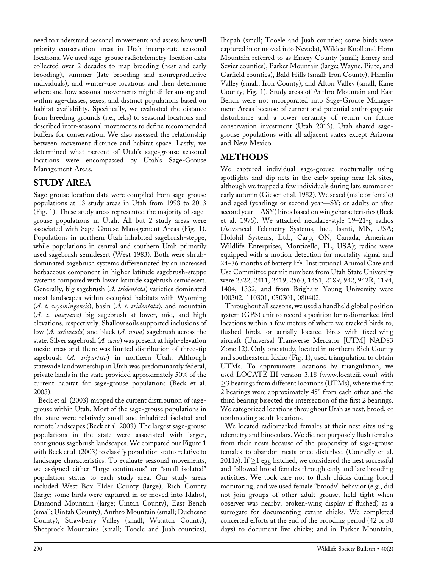need to understand seasonal movements and assess how well priority conservation areas in Utah incorporate seasonal locations. We used sage-grouse radiotelemetry-location data collected over 2 decades to map breeding (nest and early brooding), summer (late brooding and nonreproductive individuals), and winter-use locations and then determine where and how seasonal movements might differ among and within age-classes, sexes, and distinct populations based on habitat availability. Specifically, we evaluated the distance from breeding grounds (i.e., leks) to seasonal locations and described inter-seasonal movements to define recommended buffers for conservation. We also assessed the relationship between movement distance and habitat space. Lastly, we determined what percent of Utah's sage-grouse seasonal locations were encompassed by Utah's Sage-Grouse Management Areas.

## STUDY AREA

Sage-grouse location data were compiled from sage-grouse populations at 13 study areas in Utah from 1998 to 2013 (Fig. 1). These study areas represented the majority of sagegrouse populations in Utah. All but 2 study areas were associated with Sage-Grouse Management Areas (Fig. 1). Populations in northern Utah inhabited sagebrush-steppe, while populations in central and southern Utah primarily used sagebrush semidesert (West 1983). Both were shrubdominated sagebrush systems differentiated by an increased herbaceous component in higher latitude sagebrush-steppe systems compared with lower latitude sagebrush semidesert. Generally, big sagebrush (A. tridentata) varieties dominated most landscapes within occupied habitats with Wyoming  $(A. t. w$ yomingensis), basin  $(A. t. tridentata)$ , and mountain (A. t. vaseyana) big sagebrush at lower, mid, and high elevations, respectively. Shallow soils supported inclusions of low (A. arbuscula) and black (A. nova) sagebrush across the state. Silver sagebrush (A. cana) was present at high-elevation mesic areas and there was limited distribution of three-tip sagebrush (A. tripartita) in northern Utah. Although statewide landownership in Utah was predominantly federal, private lands in the state provided approximately 50% of the current habitat for sage-grouse populations (Beck et al. 2003).

Beck et al. (2003) mapped the current distribution of sagegrouse within Utah. Most of the sage-grouse populations in the state were relatively small and inhabited isolated and remote landscapes (Beck et al. 2003). The largest sage-grouse populations in the state were associated with larger, contiguous sagebrush landscapes. We compared our Figure 1 with Beck et al. (2003) to classify population status relative to landscape characteristics. To evaluate seasonal movements, we assigned either "large continuous" or "small isolated" population status to each study area. Our study areas included West Box Elder County (large), Rich County (large; some birds were captured in or moved into Idaho), Diamond Mountain (large; Uintah County), East Bench (small; Uintah County), Anthro Mountain (small; Duchesne County), Strawberry Valley (small; Wasatch County), Sheeprock Mountains (small; Tooele and Juab counties),

Ibapah (small; Tooele and Juab counties; some birds were captured in or moved into Nevada), Wildcat Knoll and Horn Mountain referred to as Emery County (small; Emery and Sevier counties), Parker Mountain (large; Wayne, Piute, and Garfield counties), Bald Hills (small; Iron County), Hamlin Valley (small; Iron County), and Alton Valley (small; Kane County; Fig. 1). Study areas of Anthro Mountain and East Bench were not incorporated into Sage-Grouse Management Areas because of current and potential anthropogenic disturbance and a lower certainty of return on future conservation investment (Utah 2013). Utah shared sagegrouse populations with all adjacent states except Arizona and New Mexico.

## METHODS

We captured individual sage-grouse nocturnally using spotlights and dip-nets in the early spring near lek sites, although we trapped a few individuals during late summer or early autumn (Giesen et al. 1982). We sexed (male or female) and aged (yearlings or second year—SY; or adults or after second year—ASY) birds based on wing characteristics (Beck et al. 1975). We attached necklace-style 19–21-g radios (Advanced Telemetry Systems, Inc., Isanti, MN, USA; Holohil Systems, Ltd., Carp, ON, Canada; American Wildlife Enterprises, Monticello, FL, USA); radios were equipped with a motion detection for mortality signal and 24–36 months of battery life. Institutional Animal Care and Use Committee permit numbers from Utah State University were 2322, 2411, 2419, 2560, 1451, 2189, 942, 942R, 1194, 1404, 1332, and from Brigham Young University were 100302, 110301, 050301, 080402.

Throughout all seasons, we used a handheld global position system (GPS) unit to record a position for radiomarked bird locations within a few meters of where we tracked birds to, flushed birds, or aerially located birds with fixed-wing aircraft (Universal Transverse Mercator [UTM] NAD83 Zone 12). Only one study, located in northern Rich County and southeastern Idaho (Fig. 1), used triangulation to obtain UTMs. To approximate locations by triangulation, we used LOCATE III version 3.18 (<www.locateiii.com>) with  $\geq$ 3 bearings from different locations (UTMs), where the first 2 bearings were approximately  $45^{\circ}$  from each other and the third bearing bisected the intersection of the first 2 bearings. We categorized locations throughout Utah as nest, brood, or nonbreeding adult locations.

We located radiomarked females at their nest sites using telemetry and binoculars. We did not purposely flush females from their nests because of the propensity of sage-grouse females to abandon nests once disturbed (Connelly et al. 2011b). If  $\geq$ 1 egg hatched, we considered the nest successful and followed brood females through early and late brooding activities. We took care not to flush chicks during brood monitoring, and we used female "broody" behavior (e.g., did not join groups of other adult grouse; held tight when observer was nearby; broken-wing display if flushed) as a surrogate for documenting extant chicks. We completed concerted efforts at the end of the brooding period (42 or 50 days) to document live chicks; and in Parker Mountain,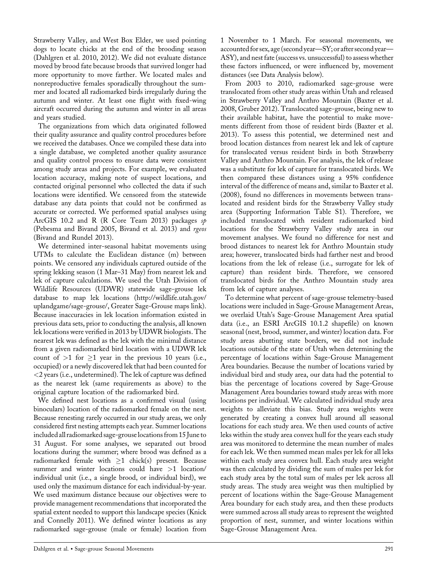Strawberry Valley, and West Box Elder, we used pointing dogs to locate chicks at the end of the brooding season (Dahlgren et al. 2010, 2012). We did not evaluate distance moved by brood fate because broods that survived longer had more opportunity to move farther. We located males and nonreproductive females sporadically throughout the summer and located all radiomarked birds irregularly during the autumn and winter. At least one flight with fixed-wing aircraft occurred during the autumn and winter in all areas and years studied.

The organizations from which data originated followed their quality assurance and quality control procedures before we received the databases. Once we compiled these data into a single database, we completed another quality assurance and quality control process to ensure data were consistent among study areas and projects. For example, we evaluated location accuracy, making note of suspect locations, and contacted original personnel who collected the data if such locations were identified. We censored from the statewide database any data points that could not be confirmed as accurate or corrected. We performed spatial analyses using ArcGIS 10.2 and R (R Core Team 2013) packages sp (Pebesma and Bivand 2005, Bivand et al. 2013) and rgeos (Bivand and Rundel 2013).

We determined inter-seasonal habitat movements using UTMs to calculate the Euclidean distance (m) between points. We censored any individuals captured outside of the spring lekking season (1 Mar–31 May) from nearest lek and lek of capture calculations. We used the Utah Division of Wildlife Resources (UDWR) statewide sage-grouse lek database to map lek locations [\(http://wildlife.utah.gov/](http://wildlife.utah.gov/uplandgame/sage-grouse/) [uplandgame/sage-grouse/](http://wildlife.utah.gov/uplandgame/sage-grouse/), Greater Sage-Grouse maps link). Because inaccuracies in lek location information existed in previous data sets, prior to conducting the analysis, all known lek locations were verified in 2013 by UDWR biologists. The nearest lek was defined as the lek with the minimal distance from a given radiomarked bird location with a UDWR lek count of  $>1$  for  $\geq 1$  year in the previous 10 years (i.e., occupied) or a newly discovered lek that had been counted for <2 years (i.e., undetermined). The lek of capture was defined as the nearest lek (same requirements as above) to the original capture location of the radiomarked bird.

We defined nest locations as a confirmed visual (using binoculars) location of the radiomarked female on the nest. Because renesting rarely occurred in our study areas, we only considered first nesting attempts each year. Summer locations included all radiomarked sage-grouselocations from 15 June to 31 August. For some analyses, we separated out brood locations during the summer; where brood was defined as a radiomarked female with  $\geq 1$  chick(s) present. Because summer and winter locations could have >1 location/ individual unit (i.e., a single brood, or individual bird), we used only the maximum distance for each individual-by-year. We used maximum distance because our objectives were to provide management recommendations that incorporated the spatial extent needed to support this landscape species (Knick and Connelly 2011). We defined winter locations as any radiomarked sage-grouse (male or female) location from

1 November to 1 March. For seasonal movements, we accounted for sex, age (second year—SY; or after second year— ASY), and nest fate (success vs. unsuccessful) to assess whether these factors influenced, or were influenced by, movement distances (see Data Analysis below).

From 2003 to 2010, radiomarked sage-grouse were translocated from other study areas within Utah and released in Strawberry Valley and Anthro Mountain (Baxter et al. 2008, Gruber 2012). Translocated sage-grouse, being new to their available habitat, have the potential to make movements different from those of resident birds (Baxter et al. 2013). To assess this potential, we determined nest and brood location distances from nearest lek and lek of capture for translocated versus resident birds in both Strawberry Valley and Anthro Mountain. For analysis, the lek of release was a substitute for lek of capture for translocated birds. We then compared these distances using a 95% confidence interval of the difference of means and, similar to Baxter et al. (2008), found no differences in movements between translocated and resident birds for the Strawberry Valley study area (Supporting Information Table S1). Therefore, we included translocated with resident radiomarked bird locations for the Strawberry Valley study area in our movement analyses. We found no difference for nest and brood distances to nearest lek for Anthro Mountain study area; however, translocated birds had farther nest and brood locations from the lek of release (i.e., surrogate for lek of capture) than resident birds. Therefore, we censored translocated birds for the Anthro Mountain study area from lek of capture analyses.

To determine what percent of sage-grouse telemetry-based locations were included in Sage-Grouse Management Areas, we overlaid Utah's Sage-Grouse Management Area spatial data (i.e., an ESRI ArcGIS 10.1.2 shapefile) on known seasonal (nest, brood, summer, and winter) location data. For study areas abutting state borders, we did not include locations outside of the state of Utah when determining the percentage of locations within Sage-Grouse Management Area boundaries. Because the number of locations varied by individual bird and study area, our data had the potential to bias the percentage of locations covered by Sage-Grouse Management Area boundaries toward study areas with more locations per individual. We calculated individual study area weights to alleviate this bias. Study area weights were generated by creating a convex hull around all seasonal locations for each study area. We then used counts of active leks within the study area convex hull for the years each study area was monitored to determine the mean number of males for each lek. We then summed mean males per lek for all leks within each study area convex hull. Each study area weight was then calculated by dividing the sum of males per lek for each study area by the total sum of males per lek across all study areas. The study area weight was then multiplied by percent of locations within the Sage-Grouse Management Area boundary for each study area, and then these products were summed across all study areas to represent the weighted proportion of nest, summer, and winter locations within Sage-Grouse Management Area.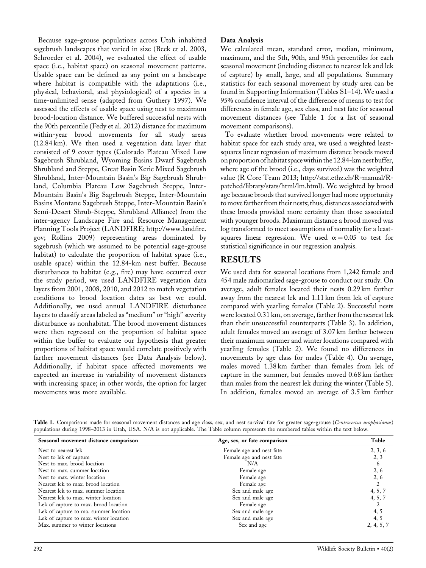Because sage-grouse populations across Utah inhabited sagebrush landscapes that varied in size (Beck et al. 2003, Schroeder et al. 2004), we evaluated the effect of usable space (i.e., habitat space) on seasonal movement patterns. Usable space can be defined as any point on a landscape where habitat is compatible with the adaptations (i.e., physical, behavioral, and physiological) of a species in a time-unlimited sense (adapted from Guthery 1997). We assessed the effects of usable space using nest to maximum brood-location distance. We buffered successful nests with the 90th percentile (Fedy et al. 2012) distance for maximum within-year brood movements for all study areas (12.84 km). We then used a vegetation data layer that consisted of 9 cover types (Colorado Plateau Mixed Low Sagebrush Shrubland, Wyoming Basins Dwarf Sagebrush Shrubland and Steppe, Great Basin Xeric Mixed Sagebrush Shrubland, Inter-Mountain Basin's Big Sagebrush Shrubland, Columbia Plateau Low Sagebrush Steppe, Inter-Mountain Basin's Big Sagebrush Steppe, Inter-Mountain Basins Montane Sagebrush Steppe, Inter-Mountain Basin's Semi-Desert Shrub-Steppe, Shrubland Alliance) from the inter-agency Landscape Fire and Resource Management Planning Tools Project (LANDFIRE; [http://www.landfire.](http://www.landfire.gov) [gov](http://www.landfire.gov); Rollins 2009) representing areas dominated by sagebrush (which we assumed to be potential sage-grouse habitat) to calculate the proportion of habitat space (i.e., usable space) within the 12.84-km nest buffer. Because disturbances to habitat (e.g., fire) may have occurred over the study period, we used LANDFIRE vegetation data layers from 2001, 2008, 2010, and 2012 to match vegetation conditions to brood location dates as best we could. Additionally, we used annual LANDFIRE disturbance layers to classify areas labeled as "medium" or "high" severity disturbance as nonhabitat. The brood movement distances were then regressed on the proportion of habitat space within the buffer to evaluate our hypothesis that greater proportions of habitat space would correlate positively with farther movement distances (see Data Analysis below). Additionally, if habitat space affected movements we expected an increase in variability of movement distances with increasing space; in other words, the option for larger movements was more available.

#### Data Analysis

We calculated mean, standard error, median, minimum, maximum, and the 5th, 90th, and 95th percentiles for each seasonal movement (including distance to nearest lek and lek of capture) by small, large, and all populations. Summary statistics for each seasonal movement by study area can be found in Supporting Information (Tables S1–14). We used a 95% confidence interval of the difference of means to test for differences in female age, sex class, and nest fate for seasonal movement distances (see Table 1 for a list of seasonal movement comparisons).

To evaluate whether brood movements were related to habitat space for each study area, we used a weighted leastsquares linear regression of maximum distance broods moved on proportion of habitat spacewithin the 12.84-km nest buffer, where age of the brood (i.e., days survived) was the weighted value (R Core Team 2013; [http://stat.ethz.ch/R-manual/R](http://stat.ethz.ch/R-manual/R-patched/library/stats/html/lm.html)[patched/library/stats/html/lm.html](http://stat.ethz.ch/R-manual/R-patched/library/stats/html/lm.html)). We weighted by brood age because broods that survived longer had more opportunity tomove farther from their nests; thus, distances associatedwith these broods provided more certainty than those associated with younger broods. Maximum distance a brood moved was log transformed to meet assumptions of normality for a leastsquares linear regression. We used  $\alpha = 0.05$  to test for statistical significance in our regression analysis.

#### RESULTS

We used data for seasonal locations from 1,242 female and 454 male radiomarked sage-grouse to conduct our study. On average, adult females located their nests 0.29 km farther away from the nearest lek and 1.11 km from lek of capture compared with yearling females (Table 2). Successful nests were located 0.31 km, on average, farther from the nearest lek than their unsuccessful counterparts (Table 3). In addition, adult females moved an average of 3.07 km farther between their maximum summer and winter locations compared with yearling females (Table 2). We found no differences in movements by age class for males (Table 4). On average, males moved 1.38 km farther than females from lek of capture in the summer, but females moved 0.68 km farther than males from the nearest lek during the winter (Table 5). In addition, females moved an average of 3.5 km farther

Table 1. Comparisons made for seasonal movement distances and age class, sex, and nest survival fate for greater sage-grouse (Centrocercus urophasianus) populations during 1998–2013 in Utah, USA. N/A is not applicable. The Table column represents the numbered tables within the text below.

| Seasonal movement distance comparison  | Age, sex, or fate comparison | Table      |
|----------------------------------------|------------------------------|------------|
| Nest to nearest lek                    | Female age and nest fate     | 2, 3, 6    |
| Nest to lek of capture                 | Female age and nest fate     | 2, 3       |
| Nest to max, brood location            | N/A                          | 6          |
| Nest to max. summer location           | Female age                   | 2, 6       |
| Nest to max. winter location           | Female age                   | 2, 6       |
| Nearest lek to max, brood location     | Female age                   |            |
| Nearest lek to max. summer location    | Sex and male age             | 4, 5, 7    |
| Nearest lek to max. winter location    | Sex and male age             | 4, 5, 7    |
| Lek of capture to max. brood location  | Female age                   |            |
| Lek of capture to ma. summer location  | Sex and male age             | 4, 5       |
| Lek of capture to max. winter location | Sex and male age             | 4, 5       |
| Max. summer to winter locations        | Sex and age                  | 2, 4, 5, 7 |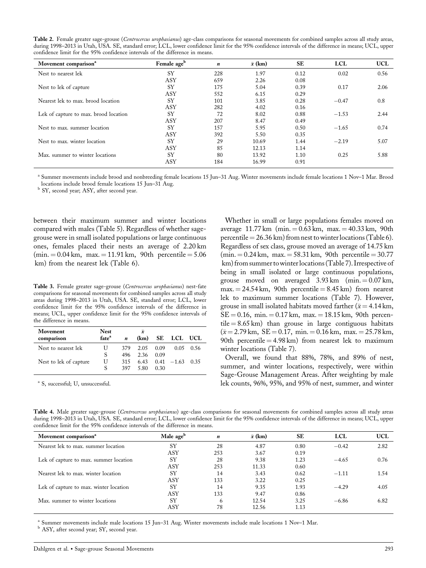Table 2. Female greater sage-grouse (Centrocercus urophasianus) age-class comparisons for seasonal movements for combined samples across all study areas, during 1998–2013 in Utah, USA. SE, standard error; LCL, lower confidence limit for the 95% confidence intervals of the difference in means; UCL, upper confidence limit for the 95% confidence intervals of the difference in means.

| Movement comparison <sup>a</sup>      | Female age <sup>b</sup> | n   | $\bar{x}$ (km) | <b>SE</b> | <b>LCL</b> | <b>UCL</b> |
|---------------------------------------|-------------------------|-----|----------------|-----------|------------|------------|
| Nest to nearest lek                   | <b>SY</b>               | 228 | 1.97           | 0.12      | 0.02       | 0.56       |
|                                       | ASY                     | 659 | 2.26           | 0.08      |            |            |
| Nest to lek of capture                | <b>SY</b>               | 175 | 5.04           | 0.39      | 0.17       | 2.06       |
|                                       | ASY                     | 552 | 6.15           | 0.29      |            |            |
| Nearest lek to max, brood location    | SY                      | 101 | 3.85           | 0.28      | $-0.47$    | 0.8        |
|                                       | <b>ASY</b>              | 282 | 4.02           | 0.16      |            |            |
| Lek of capture to max. brood location | <b>SY</b>               | 72  | 8.02           | 0.88      | $-1.53$    | 2.44       |
|                                       | ASY                     | 207 | 8.47           | 0.49      |            |            |
| Nest to max, summer location          | SY                      | 157 | 5.95           | 0.50      | $-1.65$    | 0.74       |
|                                       | ASY                     | 392 | 5.50           | 0.35      |            |            |
| Nest to max, winter location          | <b>SY</b>               | 29  | 10.69          | 1.44      | $-2.19$    | 5.07       |
|                                       | ASY                     | 85  | 12.13          | 1.14      |            |            |
| Max. summer to winter locations       | <b>SY</b>               | 80  | 13.92          | 1.10      | 0.25       | 5.88       |
|                                       | ASY                     | 184 | 16.99          | 0.91      |            |            |

<sup>a</sup> Summer movements include brood and nonbreeding female locations 15 Jun–31 Aug. Winter movements include female locations 1 Nov–1 Mar. Brood locations include brood female locations 15 Jun–31 Aug.

<sup>b</sup> SY, second year; ASY, after second year.

between their maximum summer and winter locations compared with males (Table 5). Regardless of whether sagegrouse were in small isolated populations or large continuous ones, females placed their nests an average of 2.20 km  $(min = 0.04 \text{ km}, \text{ max.} = 11.91 \text{ km}, 90 \text{th} \text{ percentile} = 5.06$ km) from the nearest lek (Table 6).

Table 3. Female greater sage-grouse (Centrocercus urophasianus) nest-fate comparisons for seasonal movements for combined samples across all study areas during 1998–2013 in Utah, USA. SE, standard error; LCL, lower confidence limit for the 95% confidence intervals of the difference in means; UCL, upper confidence limit for the 95% confidence intervals of the difference in means.

| Movement<br>comparison | <b>Nest</b><br>fate <sup>a</sup> | n   | x<br>(km) |      | SE LCL UCL        |                   |
|------------------------|----------------------------------|-----|-----------|------|-------------------|-------------------|
| Nest to nearest lek    | U                                | 379 | 2.05      | 0.09 |                   | $0.05 \quad 0.56$ |
|                        | S                                | 496 | 2.36      | 0.09 |                   |                   |
| Nest to lek of capture | U                                | 315 | 6.43      |      | $0.41 -1.63 0.35$ |                   |
|                        |                                  | 397 | 5.80      | 0.30 |                   |                   |

<sup>a</sup> S, successful; U, unsuccessful.

Whether in small or large populations females moved on average  $11.77 \text{ km}$  (min.  $= 0.63 \text{ km}$ , max.  $= 40.33 \text{ km}$ , 90th percentile =  $26.36$  km) from nest to winter locations (Table 6). Regardless of sex class, grouse moved an average of 14.75 km  $(min = 0.24 km, max = 58.31 km, 90th percentile = 30.77$ km) from summer towinter locations (Table 7). Irrespective of being in small isolated or large continuous populations, grouse moved on averaged  $3.93 \text{ km}$  (min.  $= 0.07 \text{ km}$ ,  $max = 24.54$  km, 90th percentile  $= 8.45$  km) from nearest lek to maximum summer locations (Table 7). However, grouse in small isolated habitats moved farther ( $\bar{x} = 4.14$  km,  $SE = 0.16$ , min.  $= 0.17$  km, max.  $= 18.15$  km, 90th percen $tile = 8.65 \text{ km}$  than grouse in large contiguous habitats  $(\bar{x} = 2.79 \text{ km}, \text{SE} = 0.17, \text{ min.} = 0.16 \text{ km}, \text{ max.} = 25.78 \text{ km},$ 90th percentile  $=$  4.98 km) from nearest lek to maximum winter locations (Table 7).

Overall, we found that 88%, 78%, and 89% of nest, summer, and winter locations, respectively, were within Sage-Grouse Management Areas. After weighting by male lek counts, 96%, 95%, and 95% of nest, summer, and winter

Table 4. Male greater sage-grouse (Centrocercus urophasianus) age-class comparisons for seasonal movements for combined samples across all study areas during 1998–2013 in Utah, USA. SE, standard error; LCL, lower confidence limit for the 95% confidence intervals of the difference in means; UCL, upper confidence limit for the 95% confidence intervals of the difference in means.

| Movement comparison <sup>a</sup>       | Male age <sup>b</sup> | n   | $\bar{x}$ (km) | <b>SE</b> | <b>LCL</b> | <b>UCL</b> |
|----------------------------------------|-----------------------|-----|----------------|-----------|------------|------------|
| Nearest lek to max. summer location    | SY                    | 28  | 4.87           | 0.80      | $-0.42$    | 2.82       |
|                                        | ASY                   | 253 | 3.67           | 0.19      |            |            |
| Lek of capture to max. summer location | <b>SY</b>             | 28  | 9.38           | 1.23      | $-4.65$    | 0.76       |
|                                        | ASY                   | 253 | 11.33          | 0.60      |            |            |
| Nearest lek to max, winter location    | <b>SY</b>             | 14  | 3.43           | 0.62      | $-1.11$    | 1.54       |
|                                        | ASY                   | 133 | 3.22           | 0.25      |            |            |
| Lek of capture to max. winter location | <b>SY</b>             | 14  | 9.35           | 1.93      | $-4.29$    | 4.05       |
|                                        | ASY                   | 133 | 9.47           | 0.86      |            |            |
| Max. summer to winter locations        | <b>SY</b>             | 6   | 12.54          | 3.25      | $-6.86$    | 6.82       |
|                                        | ASY                   | 78  | 12.56          | 1.13      |            |            |

<sup>a</sup> Summer movements include male locations 15 Jun–31 Aug. Winter movements include male locations 1 Nov–1 Mar.

<sup>b</sup> ASY, after second year; SY, second year.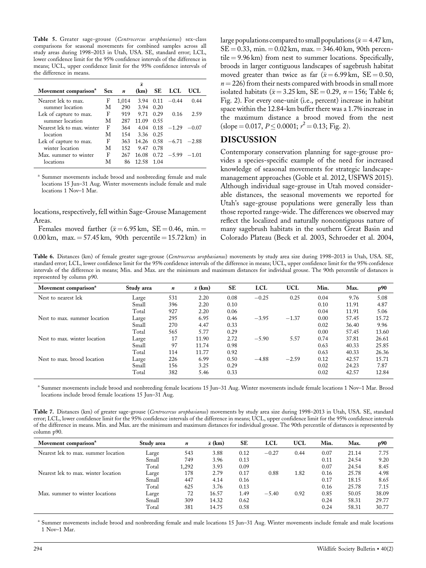Table 5. Greater sage-grouse (Centrocercus urophasianus) sex-class comparisons for seasonal movements for combined samples across all study areas during 1998–2013 in Utah, USA. SE, standard error; LCL, lower confidence limit for the 95% confidence intervals of the difference in means; UCL, upper confidence limit for the 95% confidence intervals of the difference in means.

| Movement comparison <sup>a</sup> | Sex | n     | $\overline{\mathbf{x}}$ |      | $(km)$ SE LCL                  | <b>UCL</b> |
|----------------------------------|-----|-------|-------------------------|------|--------------------------------|------------|
| Nearest lek to max.              | F   | 1,014 |                         |      | $3.94$ 0.11 $-0.44$            | 0.44       |
| summer location                  | М   | 290   | 3.94                    | 0.20 |                                |            |
| Lek of capture to max.           | F   | 919   | 9.71                    | 0.29 | 0.16                           | 2.59       |
| summer location                  | М   | 287   | 11.09                   | 0.55 |                                |            |
| Nearest lek to max, winter       | F   | 364   |                         |      | $4.04$ $0.18$ $-1.29$ $-0.07$  |            |
| location                         | М   | 154   | 3.36 0.25               |      |                                |            |
| Lek of capture to max.           | F   | 363   |                         |      | $14.26$ $0.58$ $-6.71$ $-2.88$ |            |
| winter location                  | М   | 152   | 9.47                    | 0.78 |                                |            |
| Max. summer to winter            | F   | 267   | 16.08                   |      | $0.72 - 5.99 - 1.01$           |            |
| locations                        | М   | 86    | 12.58                   | 1.04 |                                |            |

Summer movements include brood and nonbreeding female and male locations 15 Jun–31 Aug. Winter movements include female and male locations 1 Nov–1 Mar.

locations, respectively, fell within Sage-Grouse Management Areas.

Females moved farther ( $\bar{x} = 6.95$  km, SE = 0.46, min. = 0.00 km, max.  $= 57.45$  km, 90th percentile  $= 15.72$  km) in large populations compared to small populations ( $\bar{x} = 4.47$  km,  $SE = 0.33$ , min.  $= 0.02$  km, max.  $= 346.40$  km, 90th percen $tile = 9.96 \text{ km}$ ) from nest to summer locations. Specifically, broods in larger contiguous landscapes of sagebrush habitat moved greater than twice as far ( $\bar{x} = 6.99$  km, SE = 0.50,  $n = 226$ ) from their nests compared with broods in small more isolated habitats ( $\bar{x}$  = 3.25 km, SE = 0.29, n = 156; Table 6; Fig. 2). For every one-unit (i.e., percent) increase in habitat space within the 12.84-km buffer there was a 1.7% increase in the maximum distance a brood moved from the nest (slope = 0.017,  $P \le 0.0001$ ;  $r^2 = 0.13$ ; Fig. 2).

#### DISCUSSION

Contemporary conservation planning for sage-grouse provides a species-specific example of the need for increased knowledge of seasonal movements for strategic landscapemanagement approaches (Goble et al. 2012, USFWS 2015). Although individual sage-grouse in Utah moved considerable distances, the seasonal movements we reported for Utah's sage-grouse populations were generally less than those reported range-wide. The differences we observed may reflect the localized and naturally noncontiguous nature of many sagebrush habitats in the southern Great Basin and Colorado Plateau (Beck et al. 2003, Schroeder et al. 2004,

Table 6. Distances (km) of female greater sage-grouse (Centrocercus urophasianus) movements by study area size during 1998-2013 in Utah, USA. SE, standard error; LCL, lower confidence limit for the 95% confidence intervals of the difference in means; UCL, upper confidence limit for the 95% confidence intervals of the difference in means; Min. and Max. are the minimum and maximum distances for individual grouse. The 90th percentile of distances is represented by column p90.

| Movement comparison <sup>a</sup> | Study area | n   | $\bar{x}$ (km) | SE   | <b>LCL</b> | <b>UCL</b> | Min. | Max.  | p90   |
|----------------------------------|------------|-----|----------------|------|------------|------------|------|-------|-------|
| Nest to nearest lek              | Large      | 531 | 2.20           | 0.08 | $-0.25$    | 0.25       | 0.04 | 9.76  | 5.08  |
|                                  | Small      | 396 | 2.20           | 0.10 |            |            | 0.10 | 11.91 | 4.87  |
|                                  | Total      | 927 | 2.20           | 0.06 |            |            | 0.04 | 11.91 | 5.06  |
| Nest to max. summer location     | Large      | 295 | 6.95           | 0.46 | $-3.95$    | $-1.37$    | 0.00 | 57.45 | 15.72 |
|                                  | Small      | 270 | 4.47           | 0.33 |            |            | 0.02 | 36.40 | 9.96  |
|                                  | Total      | 565 | 5.77           | 0.29 |            |            | 0.00 | 57.45 | 13.60 |
| Nest to max, winter location     | Large      | 17  | 11.90          | 2.72 | $-5.90$    | 5.57       | 0.74 | 37.81 | 26.61 |
|                                  | Small      | 97  | 11.74          | 0.98 |            |            | 0.63 | 40.33 | 25.85 |
|                                  | Total      | 114 | 11.77          | 0.92 |            |            | 0.63 | 40.33 | 26.36 |
| Nest to max, brood location      | Large      | 226 | 6.99           | 0.50 | $-4.88$    | $-2.59$    | 0.12 | 42.57 | 15.71 |
|                                  | Small      | 156 | 3.25           | 0.29 |            |            | 0.02 | 24.23 | 7.87  |
|                                  | Total      | 382 | 5.46           | 0.33 |            |            | 0.02 | 42.57 | 12.84 |

<sup>a</sup> Summer movements include brood and nonbreeding female locations 15 Jun–31 Aug. Winter movements include female locations 1 Nov–1 Mar. Brood locations include brood female locations 15 Jun–31 Aug.

Table 7. Distances (km) of greater sage-grouse (Centrocercus urophasianus) movements by study area size during 1998–2013 in Utah, USA. SE, standard error; LCL, lower confidence limit for the 95% confidence intervals of the difference in means; UCL, upper confidence limit for the 95% confidence intervals of the difference in means. Min. and Max. are the minimum and maximum distances for individual grouse. The 90th percentile of distances is represented by column p90.

| Movement comparison <sup>a</sup>    | Study area | n     | $\bar{x}$ (km) | <b>SE</b> | <b>LCL</b> | <b>UCL</b> | Min. | Max.  | p90   |
|-------------------------------------|------------|-------|----------------|-----------|------------|------------|------|-------|-------|
| Nearest lek to max. summer location | Large      | 543   | 3.88           | 0.12      | $-0.27$    | 0.44       | 0.07 | 21.14 | 7.75  |
|                                     | Small      | 749   | 3.96           | 0.13      |            |            | 0.11 | 24.54 | 9.20  |
|                                     | Total      | 1,292 | 3.93           | 0.09      |            |            | 0.07 | 24.54 | 8.45  |
| Nearest lek to max, winter location | Large      | 178   | 2.79           | 0.17      | 0.88       | 1.82       | 0.16 | 25.78 | 4.98  |
|                                     | Small      | 447   | 4.14           | 0.16      |            |            | 0.17 | 18.15 | 8.65  |
|                                     | Total      | 625   | 3.76           | 0.13      |            |            | 0.16 | 25.78 | 7.15  |
| Max. summer to winter locations     | Large      | 72    | 16.57          | 1.49      | $-5.40$    | 0.92       | 0.85 | 50.05 | 38.09 |
|                                     | Small      | 309   | 14.32          | 0.62      |            |            | 0.24 | 58.31 | 29.77 |
|                                     | Total      | 381   | 14.75          | 0.58      |            |            | 0.24 | 58.31 | 30.77 |

<sup>a</sup> Summer movements include brood and nonbreeding female and male locations 15 Jun–31 Aug. Winter movements include female and male locations 1 Nov–1 Mar.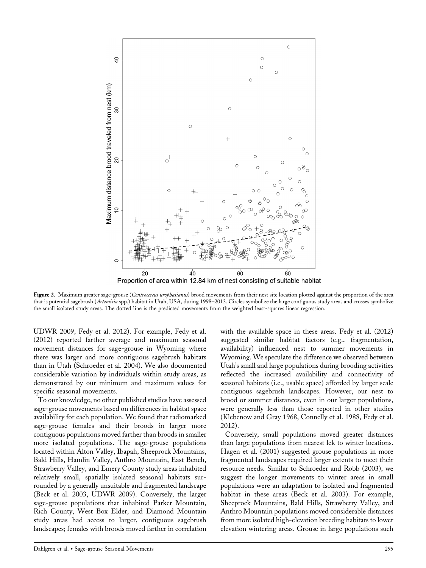

Figure 2. Maximum greater sage-grouse (Centrocercus urophasianus) brood movements from their nest site location plotted against the proportion of the area that is potential sagebrush (Artemisia spp.) habitat in Utah, USA, during 1998–2013. Circles symbolize the large contiguous study areas and crosses symbolize the small isolated study areas. The dotted line is the predicted movements from the weighted least-squares linear regression.

UDWR 2009, Fedy et al. 2012). For example, Fedy et al. (2012) reported farther average and maximum seasonal movement distances for sage-grouse in Wyoming where there was larger and more contiguous sagebrush habitats than in Utah (Schroeder et al. 2004). We also documented considerable variation by individuals within study areas, as demonstrated by our minimum and maximum values for specific seasonal movements.

To our knowledge, no other published studies have assessed sage-grouse movements based on differences in habitat space availability for each population. We found that radiomarked sage-grouse females and their broods in larger more contiguous populations moved farther than broods in smaller more isolated populations. The sage-grouse populations located within Alton Valley, Ibapah, Sheeprock Mountains, Bald Hills, Hamlin Valley, Anthro Mountain, East Bench, Strawberry Valley, and Emery County study areas inhabited relatively small, spatially isolated seasonal habitats surrounded by a generally unsuitable and fragmented landscape (Beck et al. 2003, UDWR 2009). Conversely, the larger sage-grouse populations that inhabited Parker Mountain, Rich County, West Box Elder, and Diamond Mountain study areas had access to larger, contiguous sagebrush landscapes; females with broods moved farther in correlation

with the available space in these areas. Fedy et al. (2012) suggested similar habitat factors (e.g., fragmentation, availability) influenced nest to summer movements in Wyoming. We speculate the difference we observed between Utah's small and large populations during brooding activities reflected the increased availability and connectivity of seasonal habitats (i.e., usable space) afforded by larger scale contiguous sagebrush landscapes. However, our nest to brood or summer distances, even in our larger populations, were generally less than those reported in other studies (Klebenow and Gray 1968, Connelly et al. 1988, Fedy et al. 2012).

Conversely, small populations moved greater distances than large populations from nearest lek to winter locations. Hagen et al. (2001) suggested grouse populations in more fragmented landscapes required larger extents to meet their resource needs. Similar to Schroeder and Robb (2003), we suggest the longer movements to winter areas in small populations were an adaptation to isolated and fragmented habitat in these areas (Beck et al. 2003). For example, Sheeprock Mountains, Bald Hills, Strawberry Valley, and Anthro Mountain populations moved considerable distances from more isolated high-elevation breeding habitats to lower elevation wintering areas. Grouse in large populations such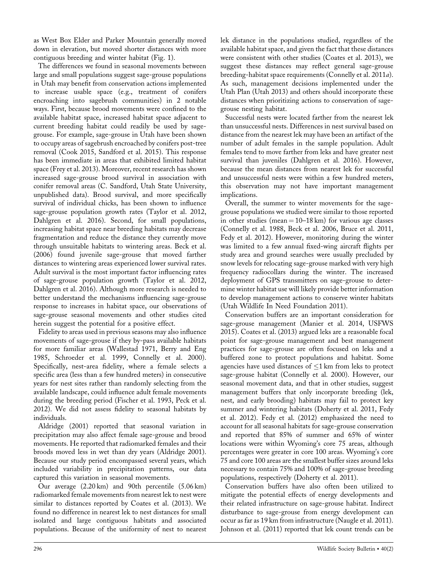as West Box Elder and Parker Mountain generally moved down in elevation, but moved shorter distances with more contiguous breeding and winter habitat (Fig. 1).

The differences we found in seasonal movements between large and small populations suggest sage-grouse populations in Utah may benefit from conservation actions implemented to increase usable space (e.g., treatment of conifers encroaching into sagebrush communities) in 2 notable ways. First, because brood movements were confined to the available habitat space, increased habitat space adjacent to current breeding habitat could readily be used by sagegrouse. For example, sage-grouse in Utah have been shown to occupy areas of sagebrush encroached by conifers post-tree removal (Cook 2015, Sandford et al. 2015). This response has been immediate in areas that exhibited limited habitat space (Frey et al. 2013). Moreover, recent research has shown increased sage-grouse brood survival in association with conifer removal areas (C. Sandford, Utah State University, unpublished data). Brood survival, and more specifically survival of individual chicks, has been shown to influence sage-grouse population growth rates (Taylor et al. 2012, Dahlgren et al. 2016). Second, for small populations, increasing habitat space near breeding habitats may decrease fragmentation and reduce the distance they currently move through unsuitable habitats to wintering areas. Beck et al. (2006) found juvenile sage-grouse that moved farther distances to wintering areas experienced lower survival rates. Adult survival is the most important factor influencing rates of sage-grouse population growth (Taylor et al. 2012, Dahlgren et al. 2016). Although more research is needed to better understand the mechanisms influencing sage-grouse response to increases in habitat space, our observations of sage-grouse seasonal movements and other studies cited herein suggest the potential for a positive effect.

Fidelity to areas used in previous seasons may also influence movements of sage-grouse if they by-pass available habitats for more familiar areas (Wallestad 1971, Berry and Eng 1985, Schroeder et al. 1999, Connelly et al. 2000). Specifically, nest-area fidelity, where a female selects a specific area (less than a few hundred meters) in consecutive years for nest sites rather than randomly selecting from the available landscape, could influence adult female movements during the breeding period (Fischer et al. 1993, Peck et al. 2012). We did not assess fidelity to seasonal habitats by individuals.

Aldridge (2001) reported that seasonal variation in precipitation may also affect female sage-grouse and brood movements. He reported that radiomarked females and their broods moved less in wet than dry years (Aldridge 2001). Because our study period encompassed several years, which included variability in precipitation patterns, our data captured this variation in seasonal movements.

Our average (2.20 km) and 90th percentile (5.06 km) radiomarked female movements from nearest lek to nest were similar to distances reported by Coates et al. (2013). We found no difference in nearest lek to nest distances for small isolated and large contiguous habitats and associated populations. Because of the uniformity of nest to nearest lek distance in the populations studied, regardless of the available habitat space, and given the fact that these distances were consistent with other studies (Coates et al. 2013), we suggest these distances may reflect general sage-grouse breeding-habitat space requirements (Connelly et al. 2011a). As such, management decisions implemented under the Utah Plan (Utah 2013) and others should incorporate these distances when prioritizing actions to conservation of sagegrouse nesting habitat.

Successful nests were located farther from the nearest lek than unsuccessful nests. Differences in nest survival based on distance from the nearest lek may have been an artifact of the number of adult females in the sample population. Adult females tend to move farther from leks and have greater nest survival than juveniles (Dahlgren et al. 2016). However, because the mean distances from nearest lek for successful and unsuccessful nests were within a few hundred meters, this observation may not have important management implications.

Overall, the summer to winter movements for the sagegrouse populations we studied were similar to those reported in other studies (mean =  $10-18$  km) for various age classes (Connelly et al. 1988, Beck et al. 2006, Bruce et al. 2011, Fedy et al. 2012). However, monitoring during the winter was limited to a few annual fixed-wing aircraft flights per study area and ground searches were usually precluded by snow levels for relocating sage-grouse marked with very high frequency radiocollars during the winter. The increased deployment of GPS transmitters on sage-grouse to determine winter habitat use will likely provide better information to develop management actions to conserve winter habitats (Utah Wildlife In Need Foundation 2011).

Conservation buffers are an important consideration for sage-grouse management (Manier et al. 2014, USFWS 2015). Coates et al. (2013) argued leks are a reasonable focal point for sage-grouse management and best management practices for sage-grouse are often focused on leks and a buffered zone to protect populations and habitat. Some agencies have used distances of  $\leq$ 1 km from leks to protect sage-grouse habitat (Connelly et al. 2000). However, our seasonal movement data, and that in other studies, suggest management buffers that only incorporate breeding (lek, nest, and early brooding) habitats may fail to protect key summer and wintering habitats (Doherty et al. 2011, Fedy et al. 2012). Fedy et al. (2012) emphasized the need to account for all seasonal habitats for sage-grouse conservation and reported that 85% of summer and 65% of winter locations were within Wyoming's core 75 areas, although percentages were greater in core 100 areas. Wyoming's core 75 and core 100 areas are the smallest buffer sizes around leks necessary to contain 75% and 100% of sage-grouse breeding populations, respectively (Doherty et al. 2011).

Conservation buffers have also often been utilized to mitigate the potential effects of energy developments and their related infrastructure on sage-grouse habitat. Indirect disturbance to sage-grouse from energy development can occur as far as 19 km from infrastructure (Naugle et al. 2011). Johnson et al. (2011) reported that lek count trends can be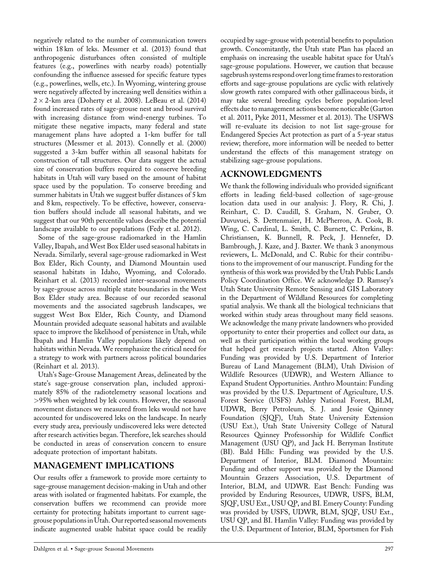negatively related to the number of communication towers within 18 km of leks. Messmer et al. (2013) found that anthropogenic disturbances often consisted of multiple features (e.g., powerlines with nearby roads) potentially confounding the influence assessed for specific feature types (e.g., powerlines, wells, etc.). In Wyoming, wintering grouse were negatively affected by increasing well densities within a  $2 \times 2$ -km area (Doherty et al. 2008). LeBeau et al. (2014) found increased rates of sage-grouse nest and brood survival with increasing distance from wind-energy turbines. To mitigate these negative impacts, many federal and state management plans have adopted a 1-km buffer for tall structures (Messmer et al. 2013). Connelly et al. (2000) suggested a 3-km buffer within all seasonal habitats for construction of tall structures. Our data suggest the actual size of conservation buffers required to conserve breeding habitats in Utah will vary based on the amount of habitat space used by the population. To conserve breeding and summer habitats in Utah we suggest buffer distances of 5 km and 8 km, respectively. To be effective, however, conservation buffers should include all seasonal habitats, and we suggest that our 90th percentile values describe the potential landscape available to our populations (Fedy et al. 2012).

Some of the sage-grouse radiomarked in the Hamlin Valley, Ibapah, and West Box Elder used seasonal habitats in Nevada. Similarly, several sage-grouse radiomarked in West Box Elder, Rich County, and Diamond Mountain used seasonal habitats in Idaho, Wyoming, and Colorado. Reinhart et al. (2013) recorded inter-seasonal movements by sage-grouse across multiple state boundaries in the West Box Elder study area. Because of our recorded seasonal movements and the associated sagebrush landscapes, we suggest West Box Elder, Rich County, and Diamond Mountain provided adequate seasonal habitats and available space to improve the likelihood of persistence in Utah, while Ibapah and Hamlin Valley populations likely depend on habitats within Nevada. We reemphasize the critical need for a strategy to work with partners across political boundaries (Reinhart et al. 2013).

Utah's Sage-Grouse Management Areas, delineated by the state's sage-grouse conservation plan, included approximately 85% of the radiotelemetry seasonal locations and >95% when weighted by lek counts. However, the seasonal movement distances we measured from leks would not have accounted for undiscovered leks on the landscape. In nearly every study area, previously undiscovered leks were detected after research activities began. Therefore, lek searches should be conducted in areas of conservation concern to ensure adequate protection of important habitats.

## MANAGEMENT IMPLICATIONS

Our results offer a framework to provide more certainty to sage-grouse management decision-making in Utah and other areas with isolated or fragmented habitats. For example, the conservation buffers we recommend can provide more certainty for protecting habitats important to current sagegrouse populations in Utah. Our reported seasonal movements indicate augmented usable habitat space could be readily occupied by sage-grouse with potential benefits to population growth. Concomitantly, the Utah state Plan has placed an emphasis on increasing the useable habitat space for Utah's sage-grouse populations. However, we caution that because sagebrush systems respond over long time frames to restoration efforts and sage-grouse populations are cyclic with relatively slow growth rates compared with other gallinaceous birds, it may take several breeding cycles before population-level effects due to management actions become noticeable (Garton et al. 2011, Pyke 2011, Messmer et al. 2013). The USFWS will re-evaluate its decision to not list sage-grouse for Endangered Species Act protection as part of a 5-year status review; therefore, more information will be needed to better understand the effects of this management strategy on stabilizing sage-grouse populations.

# ACKNOWLEDGMENTS

We thank the following individuals who provided significant efforts in leading field-based collection of sage-grouse location data used in our analysis: J. Flory, R. Chi, J. Reinhart, C. D. Caudill, S. Graham, N. Gruber, O. Duvuvuei, S. Dettenmaier, H. McPherron, A. Cook, B. Wing, C. Cardinal, L. Smith, C. Burnett, C. Perkins, B. Christiansen, K. Bunnell, R. Peck, J. Hennefer, D. Bambrough, J. Kaze, and J. Baxter. We thank 3 anonymous reviewers, L. McDonald, and C. Rubic for their contributions to the improvement of our manuscript. Funding for the synthesis of this work was provided by the Utah Public Lands Policy Coordination Office. We acknowledge D. Ramsey's Utah State University Remote Sensing and GIS Laboratory in the Department of Wildland Resources for completing spatial analysis. We thank all the biological technicians that worked within study areas throughout many field seasons. We acknowledge the many private landowners who provided opportunity to enter their properties and collect our data, as well as their participation within the local working groups that helped get research projects started. Alton Valley: Funding was provided by U.S. Department of Interior Bureau of Land Management (BLM), Utah Division of Wildlife Resources (UDWR), and Western Alliance to Expand Student Opportunities. Anthro Mountain: Funding was provided by the U.S. Department of Agriculture, U.S. Forest Service (USFS) Ashley National Forest, BLM, UDWR, Berry Petroleum, S. J. and Jessie Quinney Foundation (SJQF), Utah State University Extension (USU Ext.), Utah State University College of Natural Resources Quinney Professorship for Wildlife Conflict Management (USU QP), and Jack H. Berryman Institute (BI). Bald Hills: Funding was provided by the U.S. Department of Interior, BLM. Diamond Mountain: Funding and other support was provided by the Diamond Mountain Grazers Association, U.S. Department of Interior, BLM, and UDWR. East Bench: Funding was provided by Enduring Resources, UDWR, USFS, BLM, SJQF, USU Ext., USU QP, and BI. Emery County: Funding was provided by USFS, UDWR, BLM, SJQF, USU Ext., USU QP, and BI. Hamlin Valley: Funding was provided by the U.S. Department of Interior, BLM, Sportsmen for Fish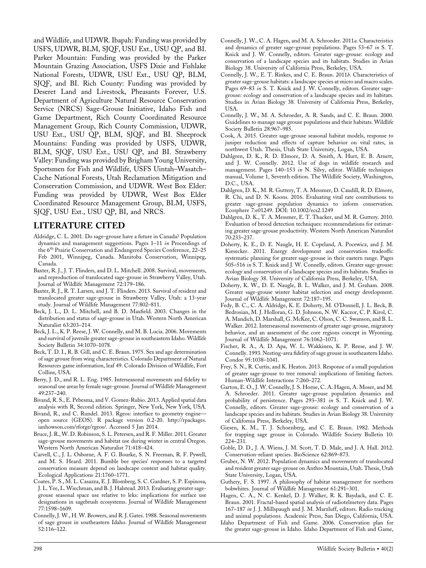and Wildlife, and UDWR. Ibapah: Funding was provided by USFS, UDWR, BLM, SJQF, USU Ext., USU QP, and BI. Parker Mountain: Funding was provided by the Parker Mountain Grazing Association, USFS Dixie and Fishlake National Forests, UDWR, USU Ext., USU QP, BLM, SJQF, and BI. Rich County: Funding was provided by Deseret Land and Livestock, Pheasants Forever, U.S. Department of Agriculture Natural Resource Conservation Service (NRCS) Sage-Grouse Initiative, Idaho Fish and Game Department, Rich County Coordinated Resource Management Group, Rich County Commission, UDWR, USU Ext., USU QP, BLM, SJQF, and BI. Sheeprock Mountains: Funding was provided by USFS, UDWR, BLM, SJQF, USU Ext., USU QP, and BI. Strawberry Valley: Funding was provided by Brigham Young University, Sportsmen for Fish and Wildlife, USFS Uintah–Wasatch– Cache National Forests, Utah Reclamation Mitigation and Conservation Commission, and UDWR. West Box Elder: Funding was provided by UDWR, West Box Elder Coordinated Resource Management Group, BLM, USFS, SJQF, USU Ext., USU QP, BI, and NRCS.

#### LITERATURE CITED

- Aldridge, C. L. 2001. Do sage-grouse have a future in Canada? Population dynamics and management suggestions. Pages 1–11 in Proceedings of the 6th Prairie Conservation and Endangered Species Conference, 22–25 Feb 2001, Winnipeg, Canada. Manitoba Conservation, Winnipeg, Canada.
- Baxter, R. J., J. T. Flinders, and D. L. Mitchell. 2008. Survival, movements, and reproduction of translocated sage-grouse in Strawberry Valley, Utah. Journal of Wildlife Management 72:179–186.
- Baxter, R. J., R. T. Larsen, and J. T. Flinders. 2013. Survival of resident and translocated greater sage-grouse in Strawberry Valley, Utah: a 13-year study. Journal of Wildlife Management 77:802–811.
- Beck, J. L., D. L. Mitchell, and B. D. Maxfield. 2003. Changes in the distribution and status of sage-grouse in Utah. Western North American Naturalist 63:203–214.
- Beck, J. L., K. P. Reese, J. W. Connelly, and M. B. Lucia. 2006. Movements and survival of juvenile greater sage-grouse in southeastern Idaho. Wildlife Society Bulletin 34:1070–1078.
- Beck, T. D. I., R. B. Gill, and C. E. Braun. 1975. Sex and age determination of sage grouse from wing characteristics. Colorado Department of Natural Resources game information, leaf 49. Colorado Division of Wildlife, Fort Collins, USA.
- Berry, J. D., and R. L. Eng. 1985. Interseasonal movements and fidelity to seasonal use areas by female sage-grouse. Journal of Wildlife Management 49:237–240.
- Bivand, R. S., E. Pebesma, and V. Gomez-Rubio. 2013. Applied spatial data analysis with R, Second edition. Springer, New York, New York, USA.
- Bivand, R., and C. Rundel. 2013. Rgeos: interface to geometry engine open source (GEOS). R package version 0.2-20. [http://rpackages.](http://rpackages.ianhowson.com/rforge/rgeos/) [ianhowson.com/rforge/rgeos/.](http://rpackages.ianhowson.com/rforge/rgeos/) Accessed 5 Jan 2014.
- Bruce, J. R., W. D. Robinson, S. L. Petersen, and R. F. Miller. 2011. Greater sage-grouse movements and habitat use during winter in central Oregon. Western North American Naturalist 71:418–424.
- Carvell, C., J. L. Osborne, A. F. G. Bourke, S. N. Freeman, R. F. Pywell, and M. S. Heard. 2011. Bumble bee species' responses to a targeted conservation measure depend on landscape context and habitat quality. Ecological Applications 21:1760–1771.
- Coates, P. S., M. L. Casazza, E. J. Blomberg, S. C. Gardner, S. P. Espinosa, J. L. Yee, L. Wiechman, and B. J. Halstead. 2013. Evaluating greater sagegrouse seasonal space use relative to leks: implications for surface use designations in sagebrush ecosystems. Journal of Wildlife Management 77:1598–1609.
- Connelly, J. W., H. W. Browers, and R. J. Gates. 1988. Seasonal movements of sage grouse in southeastern Idaho. Journal of Wildlife Management 52:116–122.
- Connelly, J. W., C. A. Hagen, and M. A. Schroeder. 2011a. Characteristics and dynamics of greater sage-grouse populations. Pages 53–67 in S. T. Knick and J. W. Connelly, editors. Greater sage-grouse: ecology and conservation of a landscape species and its habitats. Studies in Avian Biology 38. University of California Press, Berkeley, USA.
- Connelly, J. W., E. T. Rinkes, and C. E. Braun. 2011b. Characteristics of greater sage-grouse habitats: a landscape species at micro and macro scales. Pages 69–83 in S. T. Knick and J. W. Connelly, editors. Greater sagegrouse: ecology and conservation of a landscape species and its habitats. Studies in Avian Biology 38. University of California Press, Berkeley, USA.
- Connelly, J. W., M. A. Schroeder, A. R. Sands, and C. E. Braun. 2000. Guidelines to manage sage grouse populations and their habitats. Wildlife Society Bulletin 28:967–985.
- Cook, A. 2015. Greater sage-grouse seasonal habitat models, response to juniper reduction and effects of capture behavior on vital rates, in northwest Utah. Thesis, Utah State University, Logan, USA.
- Dahlgren, D. K., R. D. Elmore, D. A. Smith, A. Hurt, E. B. Arnett, and J. W. Connelly. 2012. Use of dogs in wildlife research and management. Pages 140–153 in N. Silvy, editor. Wildlife techniques manual, Volume 1, Seventh edition. The Wildlife Society, Washington, D.C., USA.
- Dahlgren, D. K., M. R. Guttery, T. A. Messmer, D. Caudill, R. D. Elmore, R. Chi, and D. N. Koons. 2016. Evaluating vital rate contributions to greater sage-grouse population dynamics to inform conservation. Ecosphere 7:e01249. DOI: 10.1002/ecs2.1249
- Dahlgren, D. K., T. A. Messmer, E. T. Thacker, and M. R. Guttery. 2010. Evaluation of brood detection techniques: recommendations for estimating greater sage-grouse productivity. Western North American Naturalist 70:233–237.
- Doherty, K. E., D. E. Naugle, H. E. Copeland, A. Pocewicz, and J. M. Kiesecker. 2011. Energy development and conservation tradeoffs: systematic planning for greater sage-grouse in their eastern range. Pages 505–516 in S. T. Knick and J. W. Connelly, editors. Greater sage-grouse: ecology and conservation of a landscape species and its habitats. Studies in Avian Biology 38. University of California Press, Berkeley, USA.
- Doherty, K. W., D. E. Naugle, B. L. Walker, and J. M. Graham. 2008. Greater sage-grouse winter habitat selection and energy development. Journal of Wildlife Management 72:187–195.
- Fedy, B. C., C. A. Aldridge, K. E. Doherty, M. O'Donnell, J. L. Beck, B. Bedrosian, M. J. Holloran, G. D. Johnson, N. W. Kaczor, C. P. Kirol, C. A. Mandich, D. Marshall, G. McKee, C. Olson, C. C. Swanson, and B. L. Walker. 2012. Interseasonal movements of greater sage-grouse, migratory behavior, and an assessment of the core regions concept in Wyoming. Journal of Wildlife Management 76:1062–1071.
- Fischer, R. A., A. D. Apa, W. L. Wakkinen, K. P. Reese, and J. W. Connelly. 1993. Nesting-area fidelity of sage grouse in southeastern Idaho. Condor 95:1038–1041.
- Frey, S. N., R. Curtis, and K. Heaton. 2013. Response of a small population of greater sage-grouse to tree removal: implications of limiting factors. Human-Wildlife Interactions 7:260–272.
- Garton, E. O., J. W. Connelly, J. S. Horne, C. A. Hagen, A. Moser, and M. A. Schroeder. 2011. Greater sage-grouse population dynamics and probability of persistence. Pages 293–381 in S. T. Knick and J. W. Connelly, editors. Greater sage-grouse: ecology and conservation of a landscape species and its habitats. Studies in Avian Biology 38. University of California Press, Berkeley, USA.
- Giesen, K. M., T. J. Schoenberg, and C. E. Braun. 1982. Methods for trapping sage grouse in Colorado. Wildlife Society Bulletin 10: 224–231.
- Goble, D. D., J. A. Wiens, J. M. Scott, T. D. Male, and J. A. Hall. 2012. Conservation-reliant species. BioScience 62:869–873.
- Gruber, N. W. 2012. Population dynamics and movements of translocated and resident greater sage-grouse on Anthro Mountain, Utah. Thesis, Utah State University, Logan, USA.
- Guthery, F. S. 1997. A philosophy of habitat management for northern bobwhites. Journal of Wildlife Management 61:291–301.
- Hagen, C. A., N. C. Kenkel, D. J. Walker, R. K. Baydack, and C. E. Braun. 2001. Fractal-based spatial analysis of radiotelmetery data. Pages 167–187 in J. J. Millspaugh and J. M. Marzluff, editors. Radio tracking and animal populations. Academic Press, San Diego, California, USA.
- Idaho Department of Fish and Game. 2006. Conservation plan for the greater sage-grouse in Idaho. Idaho Department of Fish and Game,